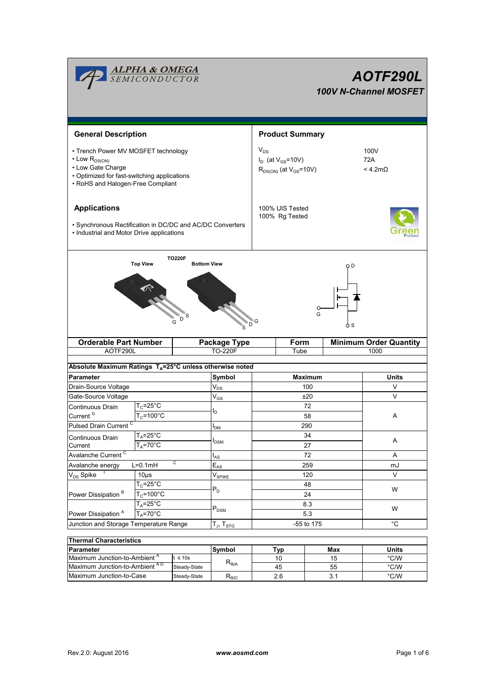| <b>ALPHA &amp; OMEGA</b><br>SEMICONDUCTOR<br>AOTF290L<br>100V N-Channel MOSFET                                                                                           |                                                        |                                                                         |                                       |                        |            |                                  |                               |        |  |  |
|--------------------------------------------------------------------------------------------------------------------------------------------------------------------------|--------------------------------------------------------|-------------------------------------------------------------------------|---------------------------------------|------------------------|------------|----------------------------------|-------------------------------|--------|--|--|
| <b>General Description</b>                                                                                                                                               |                                                        |                                                                         |                                       | <b>Product Summary</b> |            |                                  |                               |        |  |  |
| • Trench Power MV MOSFET technology<br>$\cdot$ Low $R_{DS(ON)}$<br>• Low Gate Charge<br>• Optimized for fast-switching applications<br>• RoHS and Halogen-Free Compliant |                                                        | $V_{DS}$<br>$I_D$ (at $V_{GS}$ =10V)<br>$R_{DS(ON)}$ (at $V_{GS}$ =10V) |                                       |                        |            | 100V<br>72A<br>$<$ 4.2m $\Omega$ |                               |        |  |  |
| <b>Applications</b><br>· Synchronous Rectification in DC/DC and AC/DC Converters<br>• Industrial and Motor Drive applications                                            |                                                        | 100% UIS Tested<br>100% Rg Tested                                       |                                       |                        |            |                                  |                               |        |  |  |
|                                                                                                                                                                          | <b>Top View</b>                                        | <b>TO220F</b><br><b>Bottom View</b><br>S                                | D<br>'s                               | G                      |            | G                                | o D<br>o s                    |        |  |  |
| <b>Orderable Part Number</b>                                                                                                                                             |                                                        |                                                                         | <b>Package Type</b><br><b>TO-220F</b> | <b>Form</b><br>Tube    |            |                                  | <b>Minimum Order Quantity</b> |        |  |  |
| AOTF290L                                                                                                                                                                 |                                                        |                                                                         |                                       |                        |            |                                  |                               | 1000   |  |  |
| Absolute Maximum Ratings TA=25°C unless otherwise noted                                                                                                                  |                                                        |                                                                         |                                       |                        |            |                                  |                               |        |  |  |
| Parameter                                                                                                                                                                |                                                        |                                                                         |                                       | <b>Maximum</b>         |            |                                  | Units                         |        |  |  |
| Drain-Source Voltage                                                                                                                                                     |                                                        |                                                                         | $\mathsf{V}_{\mathsf{DS}}$            | 100                    |            |                                  |                               | V      |  |  |
| Gate-Source Voltage                                                                                                                                                      |                                                        |                                                                         | $\mathsf{V}_{\mathsf{GS}}$            | ±20                    |            |                                  |                               | V      |  |  |
|                                                                                                                                                                          | $T_c = 25^\circ C$<br>Continuous Drain                 |                                                                         |                                       | 72                     |            |                                  |                               | Α      |  |  |
| Current <sup>G</sup><br>$T_c = 100^{\circ}$ C<br>Pulsed Drain Current <sup>C</sup>                                                                                       |                                                        |                                                                         |                                       | 58<br>290              |            |                                  |                               |        |  |  |
| $T_A = 25^\circ C$                                                                                                                                                       |                                                        |                                                                         | <b>IDM</b>                            |                        |            |                                  |                               |        |  |  |
| Current                                                                                                                                                                  | Continuous Drain<br>$T_A = 70^\circ \text{C}$          |                                                                         | <b>I</b> <sub>DSM</sub>               | 34<br>27               |            |                                  |                               | Α      |  |  |
| Avalanche Current <sup>C</sup>                                                                                                                                           |                                                        |                                                                         | $I_{AS}$                              | 72                     |            |                                  |                               | Α      |  |  |
| c<br>$L=0.1mH$<br>Avalanche energy                                                                                                                                       |                                                        |                                                                         | $E_{AS}$                              | 259                    |            |                                  |                               | mJ     |  |  |
| $V_{DS}$ Spike<br>$10\mus$                                                                                                                                               |                                                        |                                                                         | $\mathsf{V}_{\mathsf{SPIKE}}$         | 120                    |            |                                  |                               | $\vee$ |  |  |
|                                                                                                                                                                          | $T_c = 25$ °C<br>$T_c = 100^{\circ}C$<br>$T_A = 25$ °C |                                                                         | $P_D$                                 | 48                     |            |                                  | W<br>W                        |        |  |  |
| Power Dissipation <sup>B</sup>                                                                                                                                           |                                                        |                                                                         |                                       | 24                     |            |                                  |                               |        |  |  |
|                                                                                                                                                                          |                                                        |                                                                         |                                       | 8.3                    |            |                                  |                               |        |  |  |
| $T_A = 70^\circ C$<br>Power Dissipation <sup>A</sup>                                                                                                                     |                                                        | $\mathsf{P}_\mathsf{DSM}$                                               | 5.3                                   |                        |            |                                  |                               |        |  |  |
| Junction and Storage Temperature Range                                                                                                                                   |                                                        |                                                                         | $T_J$ , $T_{STG}$                     | -55 to 175             |            |                                  | °C                            |        |  |  |
| <b>Thermal Characteristics</b>                                                                                                                                           |                                                        |                                                                         |                                       |                        |            |                                  |                               |        |  |  |
| Parameter                                                                                                                                                                |                                                        |                                                                         | Symbol                                |                        | <b>Typ</b> |                                  | Max                           | Units  |  |  |
| Maximum Junction-to-Ambient <sup>A</sup><br>$t \leq 10s$                                                                                                                 |                                                        |                                                                         |                                       | 10                     |            |                                  | 15                            | °C/W   |  |  |
| Maximum Junction-to-Ambient AD<br>Steady-State                                                                                                                           |                                                        | $R_{\theta$ JA                                                          |                                       | 45                     |            | 55                               | $\degree$ C/W                 |        |  |  |

Maximum Junction-to-Case Steady-State R<sub>eJC</sub> 2.6 3.1 C/W

2.6

3.1

Steady-State R<sub>θJC</sub>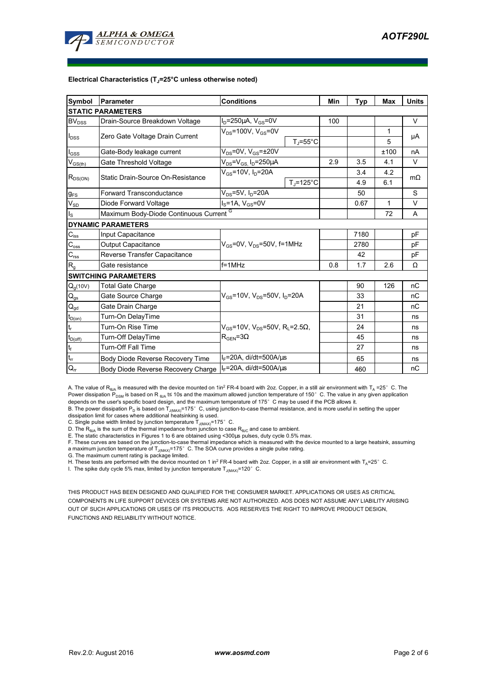

#### **Electrical Characteristics (TJ=25°C unless otherwise noted)**

| <b>Symbol</b>                | Parameter                                                                                     | <b>Conditions</b>                                        | Min                  | Typ | Max  | <b>Units</b> |           |
|------------------------------|-----------------------------------------------------------------------------------------------|----------------------------------------------------------|----------------------|-----|------|--------------|-----------|
|                              | <b>ISTATIC PARAMETERS</b>                                                                     |                                                          |                      |     |      |              |           |
| $\mathsf{BV}_{\mathsf{DSS}}$ | Drain-Source Breakdown Voltage                                                                |                                                          | 100                  |     |      | V            |           |
|                              | Zero Gate Voltage Drain Current                                                               | $V_{DS}$ =100V, $V_{GS}$ =0V<br>$T_J = 55^{\circ}C$      |                      |     |      | 1            | μA        |
| $I_{DSS}$                    |                                                                                               |                                                          |                      |     |      | 5            |           |
| $I_{GSS}$                    | $V_{DS}$ =0V, $V_{GS}$ = $\pm$ 20V<br>Gate-Body leakage current                               |                                                          |                      |     |      | ±100         | nA        |
| $V_{GS(th)}$                 | Gate Threshold Voltage                                                                        | $V_{DS} = V_{GS}$ , $I_D = 250 \mu A$                    |                      | 2.9 | 3.5  | 4.1          | V         |
| $R_{DS(ON)}$                 | Static Drain-Source On-Resistance                                                             | $V_{gs}$ =10V, $I_{p}$ =20A                              |                      |     | 3.4  | 4.2          | $m\Omega$ |
|                              |                                                                                               |                                                          | $T_i = 125^{\circ}C$ |     | 4.9  | 6.1          |           |
| $g_{FS}$                     | $V_{DS}$ =5V, $I_D$ =20A<br><b>Forward Transconductance</b>                                   |                                                          |                      |     | 50   |              | S         |
| $V_{SD}$                     | $IS=1A, VGS=0V$<br>Diode Forward Voltage                                                      |                                                          |                      |     | 0.67 | 1            | V         |
| $I_{\rm S}$                  | Maximum Body-Diode Continuous Current G                                                       |                                                          |                      |     | 72   | A            |           |
|                              | <b>DYNAMIC PARAMETERS</b>                                                                     |                                                          |                      |     |      |              |           |
| $\mathbf{C}_{\mathsf{iss}}$  | Input Capacitance                                                                             |                                                          |                      |     | 7180 |              | pF        |
| $C_{\rm oss}$                | $V_{GS}$ =0V, $V_{DS}$ =50V, f=1MHz<br><b>Output Capacitance</b>                              |                                                          |                      |     | 2780 |              | pF        |
| $C_{\rm rss}$                | Reverse Transfer Capacitance                                                                  |                                                          |                      |     | 42   |              | pF        |
| $R_{g}$                      | Gate resistance                                                                               | $f = 1$ MHz                                              |                      | 0.8 | 1.7  | 2.6          | Ω         |
|                              | <b>SWITCHING PARAMETERS</b>                                                                   |                                                          |                      |     |      |              |           |
| $Q_g(10V)$                   | <b>Total Gate Charge</b>                                                                      | $V_{GS}$ =10V, V <sub>DS</sub> =50V, I <sub>D</sub> =20A |                      |     | 90   | 126          | nC        |
| $\mathsf{Q}_{\text{gs}}$     | Gate Source Charge                                                                            |                                                          |                      |     | 33   |              | nC        |
| $\mathsf{Q}_{\text{gd}}$     | Gate Drain Charge                                                                             |                                                          |                      |     | 21   |              | nC        |
| $t_{D(0n)}$                  | Turn-On DelayTime                                                                             |                                                          |                      |     | 31   |              | ns        |
| $t_r$                        | Turn-On Rise Time<br>$V_{\text{GS}}$ =10V, $V_{\text{DS}}$ =50V, R <sub>1</sub> =2.5 $\Omega$ |                                                          |                      |     | 24   |              | ns        |
| $t_{D(\underline{off})}$     | Turn-Off DelayTime                                                                            | $R_{\text{GEN}} = 3\Omega$                               |                      |     | 45   |              | ns        |
| $\mathbf{t}_\text{f}$        | <b>Turn-Off Fall Time</b>                                                                     |                                                          |                      | 27  |      | ns           |           |
| $t_{rr}$                     | Body Diode Reverse Recovery Time                                                              | $I_F = 20A$ , di/dt=500A/ $\mu$ s                        |                      | 65  |      | ns           |           |
| $Q_{rr}$                     | $I_F$ =20A, di/dt=500A/ $\mu$ s<br>Body Diode Reverse Recovery Charge                         |                                                          |                      |     | 460  |              | пC        |

A. The value of R<sub>BJA</sub> is measured with the device mounted on 1in<sup>2</sup> FR-4 board with 2oz. Copper, in a still air environment with T<sub>A</sub> =25°C. The Power dissipation P<sub>DSM</sub> is based on R <sub>6JA</sub> t≤ 10s and the maximum allowed junction temperature of 150°C. The value in any given application<br>depends on the user's specific board design, and the maximum temperature of 175

B. The power dissipation P<sub>D</sub> is based on T<sub>J(MAX)</sub>=175°C, using junction-to-case thermal resistance, and is more useful in setting the upper<br>dissipation limit for cases where additional heatsinking is used.

C. Single pulse width limited by junction temperature  $T_{J(MAX)}$ =175°C.

D. The  $R_{AJA}$  is the sum of the thermal impedance from junction to case  $R_{AJC}$  and case to ambient.

E. The static characteristics in Figures 1 to 6 are obtained using <300µs pulses, duty cycle 0.5% max.

F. These curves are based on the junction-to-case thermal impedance which is measured with the device mounted to a large heatsink, assuming a maximum junction temperature of  $T_{J(MAX)}$ =175° C. The SOA curve provides a single pulse rating.

G. The maximum current rating is package limited.

H. These tests are performed with the device mounted on 1 in<sup>2</sup> FR-4 board with 2oz. Copper, in a still air environment with TA=25°C.

I. The spike duty cycle 5% max, limited by junction temperature  $T_{J(MAX)}$ =120°C.

THIS PRODUCT HAS BEEN DESIGNED AND QUALIFIED FOR THE CONSUMER MARKET. APPLICATIONS OR USES AS CRITICAL COMPONENTS IN LIFE SUPPORT DEVICES OR SYSTEMS ARE NOT AUTHORIZED. AOS DOES NOT ASSUME ANY LIABILITY ARISING OUT OF SUCH APPLICATIONS OR USES OF ITS PRODUCTS. AOS RESERVES THE RIGHT TO IMPROVE PRODUCT DESIGN, FUNCTIONS AND RELIABILITY WITHOUT NOTICE.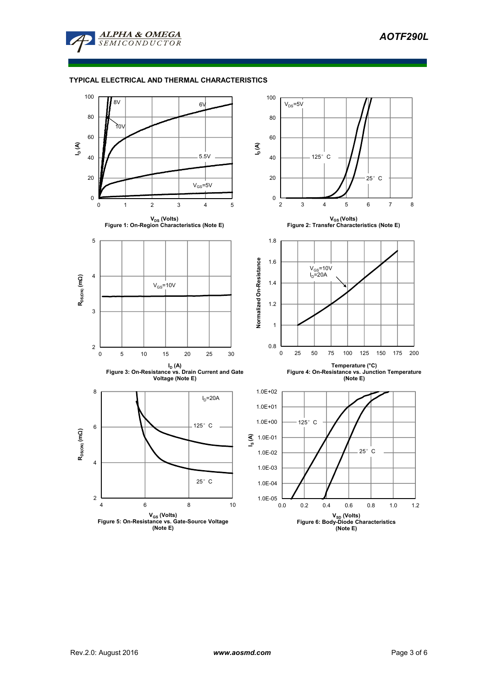

### **TYPICAL ELECTRICAL AND THERMAL CHARACTERISTICS**

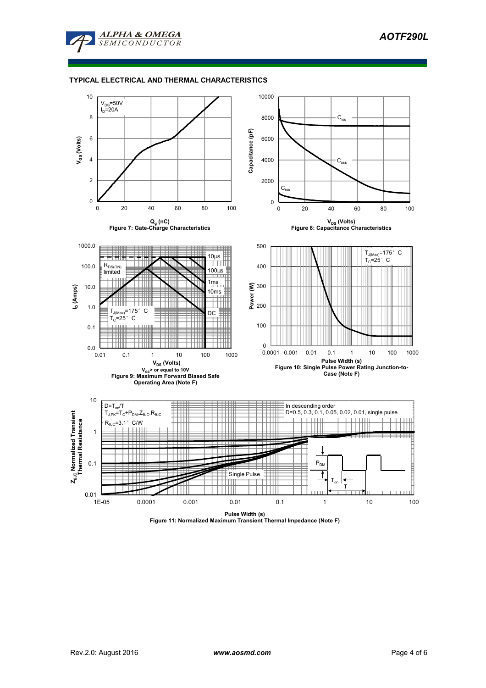

### **TYPICAL ELECTRICAL AND THERMAL CHARACTERISTICS**



**Pulse Width (s) Figure 11: Normalized Maximum Transient Thermal Impedance (Note F)**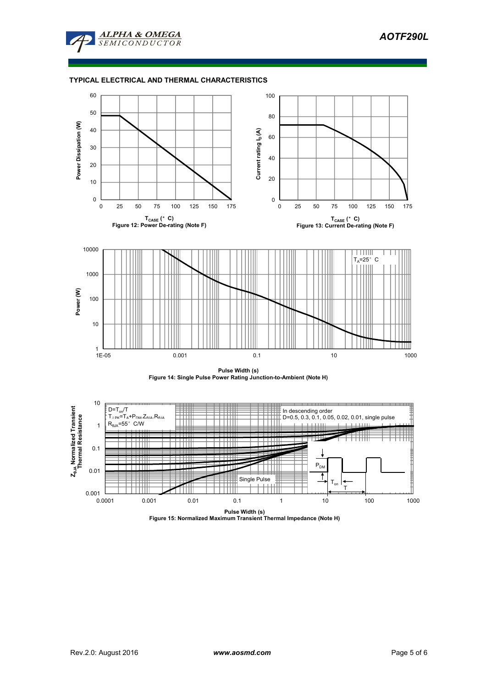

### **TYPICAL ELECTRICAL AND THERMAL CHARACTERISTICS**







**Pulse Width (s) Figure 15: Normalized Maximum Transient Thermal Impedance (Note H)**